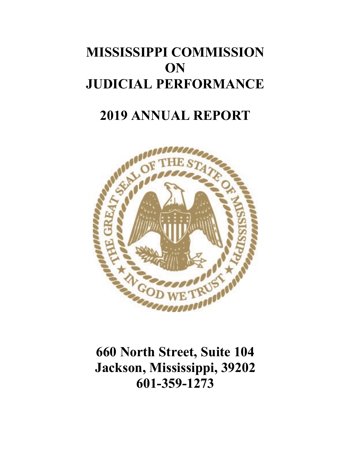# **MISSISSIPPI COMMISSION ON JUDICIAL PERFORMANCE**

# **2019 ANNUAL REPORT**



**660 North Street, Suite 104 Jackson, Mississippi, 39202 601-359-1273**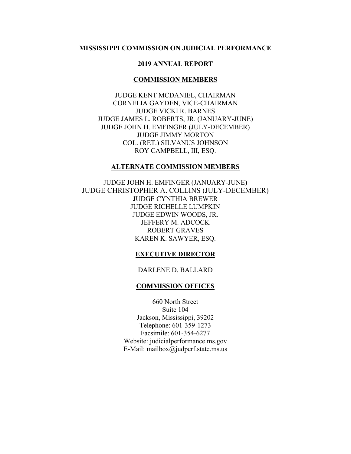## **MISSISSIPPI COMMISSION ON JUDICIAL PERFORMANCE**

## **2019 ANNUAL REPORT**

#### **COMMISSION MEMBERS**

JUDGE KENT MCDANIEL, CHAIRMAN CORNELIA GAYDEN, VICE-CHAIRMAN JUDGE VICKI R. BARNES JUDGE JAMES L. ROBERTS, JR. (JANUARY-JUNE) JUDGE JOHN H. EMFINGER (JULY-DECEMBER) JUDGE JIMMY MORTON COL. (RET.) SILVANUS JOHNSON ROY CAMPBELL, III, ESQ.

#### **ALTERNATE COMMISSION MEMBERS**

JUDGE JOHN H. EMFINGER (JANUARY-JUNE) JUDGE CHRISTOPHER A. COLLINS (JULY-DECEMBER) JUDGE CYNTHIA BREWER JUDGE RICHELLE LUMPKIN JUDGE EDWIN WOODS, JR. JEFFERY M. ADCOCK ROBERT GRAVES KAREN K. SAWYER, ESQ.

#### **EXECUTIVE DIRECTOR**

#### DARLENE D. BALLARD

#### **COMMISSION OFFICES**

660 North Street Suite 104 Jackson, Mississippi, 39202 Telephone: 601-359-1273 Facsimile: 601-354-6277 Website: judicialperformance.ms.gov E-Mail: mailbox@judperf.state.ms.us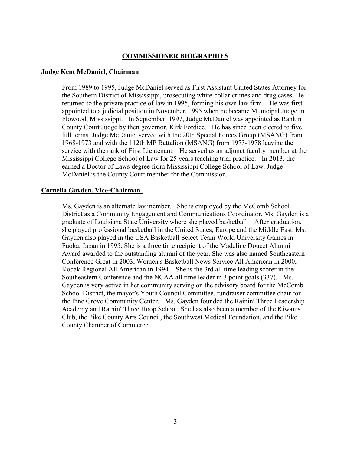## **COMMISSIONER BIOGRAPHIES**

## **Judge Kent McDaniel, Chairman**

From 1989 to 1995, Judge McDaniel served as First Assistant United States Attorney for the Southern District of Mississippi, prosecuting white-collar crimes and drug cases. He returned to the private practice of law in 1995, forming his own law firm. He was first appointed to a judicial position in November, 1995 when he became Municipal Judge in Flowood, Mississippi. In September, 1997, Judge McDaniel was appointed as Rankin County Court Judge by then governor, Kirk Fordice. He has since been elected to five full terms. Judge McDaniel served with the 20th Special Forces Group (MSANG) from 1968-1973 and with the 112th MP Battalion (MSANG) from 1973-1978 leaving the service with the rank of First Lieutenant. He served as an adjunct faculty member at the Mississippi College School of Law for 25 years teaching trial practice. In 2013, the earned a Doctor of Laws degree from Mississippi College School of Law. Judge McDaniel is the County Court member for the Commission.

## **Cornelia Gayden, Vice-Chairman**

Ms. Gayden is an alternate lay member. She is employed by the McComb School District as a Community Engagement and Communications Coordinator. Ms. Gayden is a graduate of Louisiana State University where she played basketball. After graduation, she played professional basketball in the United States, Europe and the Middle East. Ms. Gayden also played in the USA Basketball Select Team World University Games in Fuoka, Japan in 1995. She is a three time recipient of the Madeline Doucet Alumni Award awarded to the outstanding alumni of the year. She was also named Southeastern Conference Great in 2003, Women's Basketball News Service All American in 2000, Kodak Regional All American in 1994. She is the 3rd all time leading scorer in the Southeastern Conference and the NCAA all time leader in 3 point goals (337). Ms. Gayden is very active in her community serving on the advisory board for the McComb School District, the mayor's Youth Council Committee, fundraiser committee chair for the Pine Grove Community Center. Ms. Gayden founded the Rainin' Three Leadership Academy and Rainin' Three Hoop School. She has also been a member of the Kiwanis Club, the Pike County Arts Council, the Southwest Medical Foundation, and the Pike County Chamber of Commerce.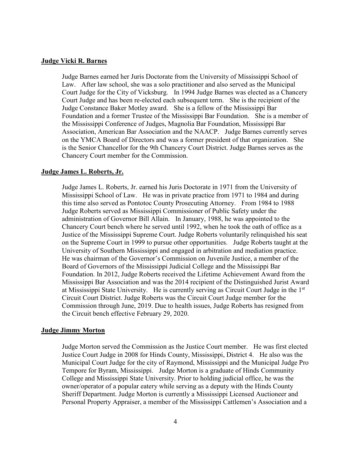### **Judge Vicki R. Barnes**

Judge Barnes earned her Juris Doctorate from the University of Mississippi School of Law. After law school, she was a solo practitioner and also served as the Municipal Court Judge for the City of Vicksburg. In 1994 Judge Barnes was elected as a Chancery Court Judge and has been re-elected each subsequent term. She is the recipient of the Judge Constance Baker Motley award. She is a fellow of the Mississippi Bar Foundation and a former Trustee of the Mississippi Bar Foundation. She is a member of the Mississippi Conference of Judges, Magnolia Bar Foundation, Mississippi Bar Association, American Bar Association and the NAACP. Judge Barnes currently serves on the YMCA Board of Directors and was a former president of that organization. She is the Senior Chancellor for the 9th Chancery Court District. Judge Barnes serves as the Chancery Court member for the Commission.

### **Judge James L. Roberts, Jr.**

Judge James L. Roberts, Jr. earned his Juris Doctorate in 1971 from the University of Mississippi School of Law. He was in private practice from 1971 to 1984 and during this time also served as Pontotoc County Prosecuting Attorney. From 1984 to 1988 Judge Roberts served as Mississippi Commissioner of Public Safety under the administration of Governor Bill Allain. In January, 1988, he was appointed to the Chancery Court bench where he served until 1992, when he took the oath of office as a Justice of the Mississippi Supreme Court. Judge Roberts voluntarily relinquished his seat on the Supreme Court in 1999 to pursue other opportunities. Judge Roberts taught at the University of Southern Mississippi and engaged in arbitration and mediation practice. He was chairman of the Governor's Commission on Juvenile Justice, a member of the Board of Governors of the Mississippi Judicial College and the Mississippi Bar Foundation. In 2012, Judge Roberts received the Lifetime Achievement Award from the Mississippi Bar Association and was the 2014 recipient of the Distinguished Jurist Award at Mississippi State University. He is currently serving as Circuit Court Judge in the 1st Circuit Court District. Judge Roberts was the Circuit Court Judge member for the Commission through June, 2019. Due to health issues, Judge Roberts has resigned from the Circuit bench effective February 29, 2020.

#### **Judge Jimmy Morton**

Judge Morton served the Commission as the Justice Court member. He was first elected Justice Court Judge in 2008 for Hinds County, Mississippi, District 4. He also was the Municipal Court Judge for the city of Raymond, Mississippi and the Municipal Judge Pro Tempore for Byram, Mississippi. Judge Morton is a graduate of Hinds Community College and Mississippi State University. Prior to holding judicial office, he was the owner/operator of a popular eatery while serving as a deputy with the Hinds County Sheriff Department. Judge Morton is currently a Mississippi Licensed Auctioneer and Personal Property Appraiser, a member of the Mississippi Cattlemen's Association and a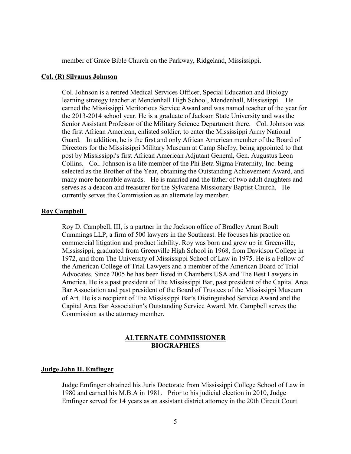member of Grace Bible Church on the Parkway, Ridgeland, Mississippi.

#### **Col. (R) Silvanus Johnson**

Col. Johnson is a retired Medical Services Officer, Special Education and Biology learning strategy teacher at Mendenhall High School, Mendenhall, Mississippi. He earned the Mississippi Meritorious Service Award and was named teacher of the year for the 2013-2014 school year. He is a graduate of Jackson State University and was the Senior Assistant Professor of the Military Science Department there. Col. Johnson was the first African American, enlisted soldier, to enter the Mississippi Army National Guard. In addition, he is the first and only African American member of the Board of Directors for the Mississippi Military Museum at Camp Shelby, being appointed to that post by Mississippi's first African American Adjutant General, Gen. Augustus Leon Collins. Col. Johnson is a life member of the Phi Beta Sigma Fraternity, Inc. being selected as the Brother of the Year, obtaining the Outstanding Achievement Award, and many more honorable awards. He is married and the father of two adult daughters and serves as a deacon and treasurer for the Sylvarena Missionary Baptist Church. He currently serves the Commission as an alternate lay member.

## **Roy Campbell**

Roy D. Campbell, III, is a partner in the Jackson office of Bradley Arant Boult Cummings LLP, a firm of 500 lawyers in the Southeast. He focuses his practice on commercial litigation and product liability. Roy was born and grew up in Greenville, Mississippi, graduated from Greenville High School in 1968, from Davidson College in 1972, and from The University of Mississippi School of Law in 1975. He is a Fellow of the American College of Trial Lawyers and a member of the American Board of Trial Advocates. Since 2005 he has been listed in Chambers USA and The Best Lawyers in America. He is a past president of The Mississippi Bar, past president of the Capital Area Bar Association and past president of the Board of Trustees of the Mississippi Museum of Art. He is a recipient of The Mississippi Bar's Distinguished Service Award and the Capital Area Bar Association's Outstanding Service Award. Mr. Campbell serves the Commission as the attorney member.

## **ALTERNATE COMMISSIONER BIOGRAPHIES**

#### **Judge John H. Emfinger**

Judge Emfinger obtained his Juris Doctorate from Mississippi College School of Law in 1980 and earned his M.B.A in 1981. Prior to his judicial election in 2010, Judge Emfinger served for 14 years as an assistant district attorney in the 20th Circuit Court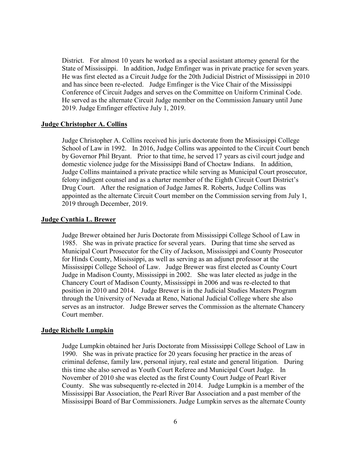District. For almost 10 years he worked as a special assistant attorney general for the State of Mississippi. In addition, Judge Emfinger was in private practice for seven years. He was first elected as a Circuit Judge for the 20th Judicial District of Mississippi in 2010 and has since been re-elected. Judge Emfinger is the Vice Chair of the Mississippi Conference of Circuit Judges and serves on the Committee on Uniform Criminal Code. He served as the alternate Circuit Judge member on the Commission January until June 2019. Judge Emfinger effective July 1, 2019.

#### **Judge Christopher A. Collins**

Judge Christopher A. Collins received his juris doctorate from the Mississippi College School of Law in 1992. In 2016, Judge Collins was appointed to the Circuit Court bench by Governor Phil Bryant. Prior to that time, he served 17 years as civil court judge and domestic violence judge for the Mississippi Band of Choctaw Indians. In addition, Judge Collins maintained a private practice while serving as Municipal Court prosecutor, felony indigent counsel and as a charter member of the Eighth Circuit Court District's Drug Court. After the resignation of Judge James R. Roberts, Judge Collins was appointed as the alternate Circuit Court member on the Commission serving from July 1, 2019 through December, 2019.

#### **Judge Cynthia L. Brewer**

Judge Brewer obtained her Juris Doctorate from Mississippi College School of Law in 1985. She was in private practice for several years. During that time she served as Municipal Court Prosecutor for the City of Jackson, Mississippi and County Prosecutor for Hinds County, Mississippi, as well as serving as an adjunct professor at the Mississippi College School of Law. Judge Brewer was first elected as County Court Judge in Madison County, Mississippi in 2002. She was later elected as judge in the Chancery Court of Madison County, Mississippi in 2006 and was re-elected to that position in 2010 and 2014. Judge Brewer is in the Judicial Studies Masters Program through the University of Nevada at Reno, National Judicial College where she also serves as an instructor. Judge Brewer serves the Commission as the alternate Chancery Court member.

### **Judge Richelle Lumpkin**

Judge Lumpkin obtained her Juris Doctorate from Mississippi College School of Law in 1990. She was in private practice for 20 years focusing her practice in the areas of criminal defense, family law, personal injury, real estate and general litigation. During this time she also served as Youth Court Referee and Municipal Court Judge. In November of 2010 she was elected as the first County Court Judge of Pearl River County. She was subsequently re-elected in 2014. Judge Lumpkin is a member of the Mississippi Bar Association, the Pearl River Bar Association and a past member of the Mississippi Board of Bar Commissioners. Judge Lumpkin serves as the alternate County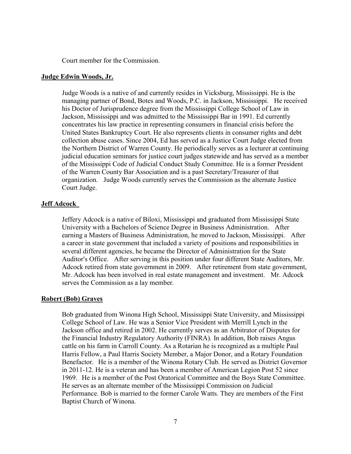Court member for the Commission.

#### **Judge Edwin Woods, Jr.**

Judge Woods is a native of and currently resides in Vicksburg, Mississippi. He is the managing partner of Bond, Botes and Woods, P.C. in Jackson, Mississippi. He received his Doctor of Jurisprudence degree from the Mississippi College School of Law in Jackson, Mississippi and was admitted to the Mississippi Bar in 1991. Ed currently concentrates his law practice in representing consumers in financial crisis before the United States Bankruptcy Court. He also represents clients in consumer rights and debt collection abuse cases. Since 2004, Ed has served as a Justice Court Judge elected from the Northern District of Warren County. He periodically serves as a lecturer at continuing judicial education seminars for justice court judges statewide and has served as a member of the Mississippi Code of Judicial Conduct Study Committee. He is a former President of the Warren County Bar Association and is a past Secretary/Treasurer of that organization. Judge Woods currently serves the Commission as the alternate Justice Court Judge.

### **Jeff Adcock**

Jeffery Adcock is a native of Biloxi, Mississippi and graduated from Mississippi State University with a Bachelors of Science Degree in Business Administration. After earning a Masters of Business Administration, he moved to Jackson, Mississippi. After a career in state government that included a variety of positions and responsibilities in several different agencies, he became the Director of Administration for the State Auditor's Office. After serving in this position under four different State Auditors, Mr. Adcock retired from state government in 2009. After retirement from state government, Mr. Adcock has been involved in real estate management and investment. Mr. Adcock serves the Commission as a lay member.

### **Robert (Bob) Graves**

Bob graduated from Winona High School, Mississippi State University, and Mississippi College School of Law. He was a Senior Vice President with Merrill Lynch in the Jackson office and retired in 2002. He currently serves as an Arbitrator of Disputes for the Financial Industry Regulatory Authority (FINRA). In addition, Bob raises Angus cattle on his farm in Carroll County. As a Rotarian he is recognized as a multiple Paul Harris Fellow, a Paul Harris Society Member, a Major Donor, and a Rotary Foundation Benefactor. He is a member of the Winona Rotary Club. He served as District Governor in 2011-12. He is a veteran and has been a member of American Legion Post 52 since 1969. He is a member of the Post Oratorical Committee and the Boys State Committee. He serves as an alternate member of the Mississippi Commission on Judicial Performance. Bob is married to the former Carole Watts. They are members of the First Baptist Church of Winona.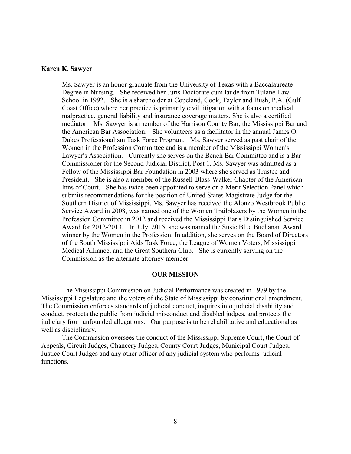### **Karen K. Sawyer**

Ms. Sawyer is an honor graduate from the University of Texas with a Baccalaureate Degree in Nursing. She received her Juris Doctorate cum laude from Tulane Law School in 1992. She is a shareholder at Copeland, Cook, Taylor and Bush, P.A. (Gulf Coast Office) where her practice is primarily civil litigation with a focus on medical malpractice, general liability and insurance coverage matters. She is also a certified mediator. Ms. Sawyer is a member of the Harrison County Bar, the Mississippi Bar and the American Bar Association. She volunteers as a facilitator in the annual James O. Dukes Professionalism Task Force Program. Ms. Sawyer served as past chair of the Women in the Profession Committee and is a member of the Mississippi Women's Lawyer's Association. Currently she serves on the Bench Bar Committee and is a Bar Commissioner for the Second Judicial District, Post 1. Ms. Sawyer was admitted as a Fellow of the Mississippi Bar Foundation in 2003 where she served as Trustee and President. She is also a member of the Russell-Blass-Walker Chapter of the American Inns of Court. She has twice been appointed to serve on a Merit Selection Panel which submits recommendations for the position of United States Magistrate Judge for the Southern District of Mississippi. Ms. Sawyer has received the Alonzo Westbrook Public Service Award in 2008, was named one of the Women Trailblazers by the Women in the Profession Committee in 2012 and received the Mississippi Bar's Distinguished Service Award for 2012-2013. In July, 2015, she was named the Susie Blue Buchanan Award winner by the Women in the Profession. In addition, she serves on the Board of Directors of the South Mississippi Aids Task Force, the League of Women Voters, Mississippi Medical Alliance, and the Great Southern Club. She is currently serving on the Commission as the alternate attorney member.

#### **OUR MISSION**

The Mississippi Commission on Judicial Performance was created in 1979 by the Mississippi Legislature and the voters of the State of Mississippi by constitutional amendment. The Commission enforces standards of judicial conduct, inquires into judicial disability and conduct, protects the public from judicial misconduct and disabled judges, and protects the judiciary from unfounded allegations. Our purpose is to be rehabilitative and educational as well as disciplinary.

The Commission oversees the conduct of the Mississippi Supreme Court, the Court of Appeals, Circuit Judges, Chancery Judges, County Court Judges, Municipal Court Judges, Justice Court Judges and any other officer of any judicial system who performs judicial functions.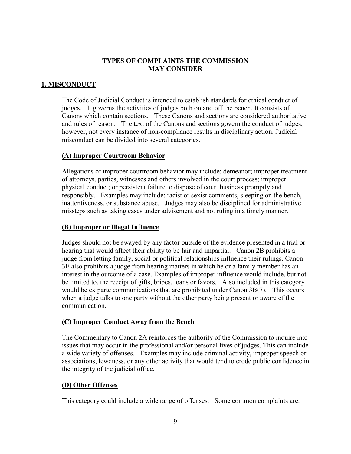# **TYPES OF COMPLAINTS THE COMMISSION MAY CONSIDER**

# **1. MISCONDUCT**

The Code of Judicial Conduct is intended to establish standards for ethical conduct of judges. It governs the activities of judges both on and off the bench. It consists of Canons which contain sections. These Canons and sections are considered authoritative and rules of reason. The text of the Canons and sections govern the conduct of judges, however, not every instance of non-compliance results in disciplinary action. Judicial misconduct can be divided into several categories.

# **(A) Improper Courtroom Behavior**

Allegations of improper courtroom behavior may include: demeanor; improper treatment of attorneys, parties, witnesses and others involved in the court process; improper physical conduct; or persistent failure to dispose of court business promptly and responsibly. Examples may include: racist or sexist comments, sleeping on the bench, inattentiveness, or substance abuse. Judges may also be disciplined for administrative missteps such as taking cases under advisement and not ruling in a timely manner.

# **(B) Improper or Illegal Influence**

Judges should not be swayed by any factor outside of the evidence presented in a trial or hearing that would affect their ability to be fair and impartial. Canon 2B prohibits a judge from letting family, social or political relationships influence their rulings. Canon 3E also prohibits a judge from hearing matters in which he or a family member has an interest in the outcome of a case. Examples of improper influence would include, but not be limited to, the receipt of gifts, bribes, loans or favors. Also included in this category would be ex parte communications that are prohibited under Canon 3B(7). This occurs when a judge talks to one party without the other party being present or aware of the communication.

# **(C) Improper Conduct Away from the Bench**

The Commentary to Canon 2A reinforces the authority of the Commission to inquire into issues that may occur in the professional and/or personal lives of judges. This can include a wide variety of offenses. Examples may include criminal activity, improper speech or associations, lewdness, or any other activity that would tend to erode public confidence in the integrity of the judicial office.

# **(D) Other Offenses**

This category could include a wide range of offenses. Some common complaints are: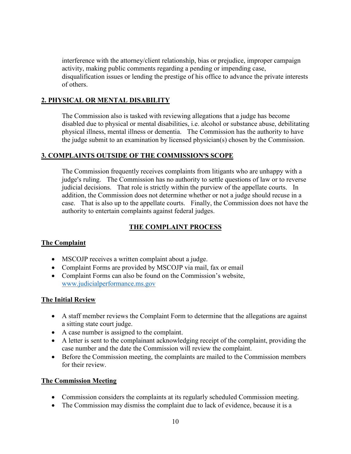interference with the attorney/client relationship, bias or prejudice, improper campaign activity, making public comments regarding a pending or impending case, disqualification issues or lending the prestige of his office to advance the private interests of others.

# **2. PHYSICAL OR MENTAL DISABILITY**

The Commission also is tasked with reviewing allegations that a judge has become disabled due to physical or mental disabilities, i.e. alcohol or substance abuse, debilitating physical illness, mental illness or dementia. The Commission has the authority to have the judge submit to an examination by licensed physician(s) chosen by the Commission.

# **3. COMPLAINTS OUTSIDE OF THE COMMISSION'S SCOPE**

The Commission frequently receives complaints from litigants who are unhappy with a judge's ruling. The Commission has no authority to settle questions of law or to reverse judicial decisions. That role is strictly within the purview of the appellate courts. In addition, the Commission does not determine whether or not a judge should recuse in a case. That is also up to the appellate courts. Finally, the Commission does not have the authority to entertain complaints against federal judges.

# **THE COMPLAINT PROCESS**

# **The Complaint**

- MSCOJP receives a written complaint about a judge.
- Complaint Forms are provided by MSCOJP via mail, fax or email
- Complaint Forms can also be found on the Commission's website, [www.judicialperformance.ms.gov](http://www.judicialperformance.ms.gov/)

# **The Initial Review**

- A staff member reviews the Complaint Form to determine that the allegations are against a sitting state court judge.
- A case number is assigned to the complaint.
- A letter is sent to the complainant acknowledging receipt of the complaint, providing the case number and the date the Commission will review the complaint.
- Before the Commission meeting, the complaints are mailed to the Commission members for their review.

# **The Commission Meeting**

- Commission considers the complaints at its regularly scheduled Commission meeting.
- The Commission may dismiss the complaint due to lack of evidence, because it is a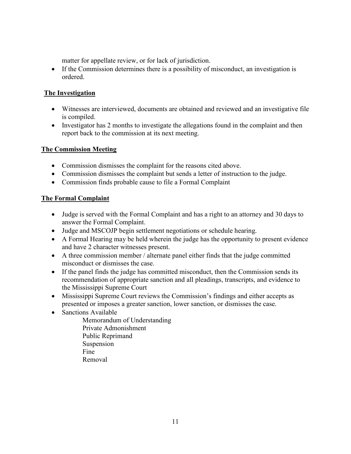matter for appellate review, or for lack of jurisdiction.

• If the Commission determines there is a possibility of misconduct, an investigation is ordered.

# **The Investigation**

- Witnesses are interviewed, documents are obtained and reviewed and an investigative file is compiled.
- Investigator has 2 months to investigate the allegations found in the complaint and then report back to the commission at its next meeting.

# **The Commission Meeting**

- Commission dismisses the complaint for the reasons cited above.
- Commission dismisses the complaint but sends a letter of instruction to the judge.
- Commission finds probable cause to file a Formal Complaint

# **The Formal Complaint**

- Judge is served with the Formal Complaint and has a right to an attorney and 30 days to answer the Formal Complaint.
- Judge and MSCOJP begin settlement negotiations or schedule hearing.
- A Formal Hearing may be held wherein the judge has the opportunity to present evidence and have 2 character witnesses present.
- A three commission member / alternate panel either finds that the judge committed misconduct or dismisses the case.
- If the panel finds the judge has committed misconduct, then the Commission sends its recommendation of appropriate sanction and all pleadings, transcripts, and evidence to the Mississippi Supreme Court
- Mississippi Supreme Court reviews the Commission's findings and either accepts as presented or imposes a greater sanction, lower sanction, or dismisses the case.
- Sanctions Available
	- Memorandum of Understanding Private Admonishment Public Reprimand Suspension Fine Removal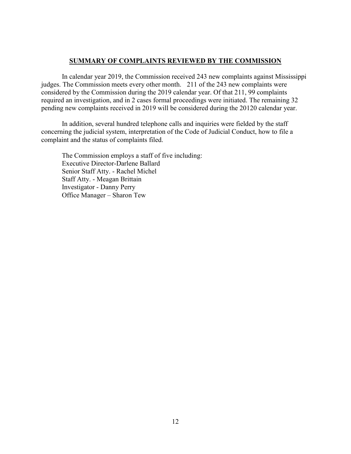## **SUMMARY OF COMPLAINTS REVIEWED BY THE COMMISSION**

In calendar year 2019, the Commission received 243 new complaints against Mississippi judges. The Commission meets every other month. 211 of the 243 new complaints were considered by the Commission during the 2019 calendar year. Of that 211, 99 complaints required an investigation, and in 2 cases formal proceedings were initiated. The remaining 32 pending new complaints received in 2019 will be considered during the 20120 calendar year.

In addition, several hundred telephone calls and inquiries were fielded by the staff concerning the judicial system, interpretation of the Code of Judicial Conduct, how to file a complaint and the status of complaints filed.

The Commission employs a staff of five including: Executive Director-Darlene Ballard Senior Staff Atty. - Rachel Michel Staff Atty. - Meagan Brittain Investigator - Danny Perry Office Manager – Sharon Tew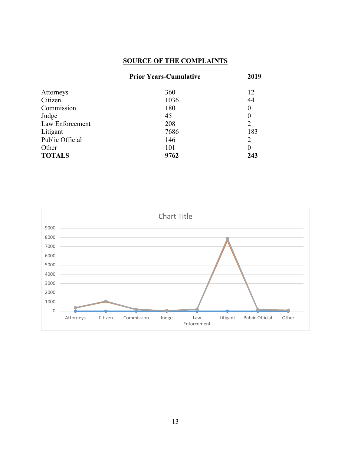# **SOURCE OF THE COMPLAINTS**

|                 | <b>Prior Years-Cumulative</b> | 2019             |  |
|-----------------|-------------------------------|------------------|--|
| Attorneys       | 360                           | 12               |  |
| Citizen         | 1036                          | 44               |  |
| Commission      | 180                           | $\boldsymbol{0}$ |  |
| Judge           | 45                            | $\boldsymbol{0}$ |  |
| Law Enforcement | 208                           | $\overline{2}$   |  |
| Litigant        | 7686                          | 183              |  |
| Public Official | 146                           | $\overline{2}$   |  |
| Other           | 101                           | $\overline{0}$   |  |
| <b>TOTALS</b>   | 9762                          | 243              |  |

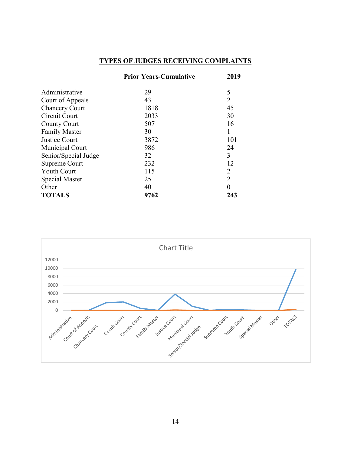# **TYPES OF JUDGES RECEIVING COMPLAINTS**

|                       | <b>Prior Years-Cumulative</b> | 2019           |
|-----------------------|-------------------------------|----------------|
| Administrative        | 29                            | 5              |
| Court of Appeals      | 43                            | $\overline{2}$ |
| <b>Chancery Court</b> | 1818                          | 45             |
| Circuit Court         | 2033                          | 30             |
| <b>County Court</b>   | 507                           | 16             |
| <b>Family Master</b>  | 30                            |                |
| <b>Justice Court</b>  | 3872                          | 101            |
| Municipal Court       | 986                           | 24             |
| Senior/Special Judge  | 32                            | 3              |
| Supreme Court         | 232                           | 12             |
| <b>Youth Court</b>    | 115                           | 2              |
| Special Master        | 25                            | $\overline{2}$ |
| Other                 | 40                            | $\overline{0}$ |
| <b>TOTALS</b>         | 9762                          | 243            |

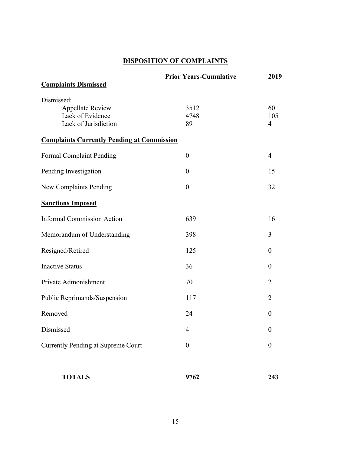# **DISPOSITION OF COMPLAINTS**

| <b>Complaints Dismissed</b>                       | <b>Prior Years-Cumulative</b> | 2019                  |
|---------------------------------------------------|-------------------------------|-----------------------|
| Dismissed:                                        |                               |                       |
| <b>Appellate Review</b>                           | 3512                          | 60                    |
| Lack of Evidence<br>Lack of Jurisdiction          | 4748<br>89                    | 105<br>$\overline{4}$ |
| <b>Complaints Currently Pending at Commission</b> |                               |                       |
| <b>Formal Complaint Pending</b>                   | $\boldsymbol{0}$              | 4                     |
| Pending Investigation                             | $\overline{0}$                | 15                    |
| New Complaints Pending                            | $\overline{0}$                | 32                    |
| <b>Sanctions Imposed</b>                          |                               |                       |
| <b>Informal Commission Action</b>                 | 639                           | 16                    |
| Memorandum of Understanding                       | 398                           | 3                     |
| Resigned/Retired                                  | 125                           | $\boldsymbol{0}$      |
| <b>Inactive Status</b>                            | 36                            | $\boldsymbol{0}$      |
| Private Admonishment                              | 70                            | 2                     |
| Public Reprimands/Suspension                      | 117                           | 2                     |
| Removed                                           | 24                            | $\theta$              |
| Dismissed                                         | 4                             | $\boldsymbol{0}$      |
| <b>Currently Pending at Supreme Court</b>         | $\boldsymbol{0}$              | $\boldsymbol{0}$      |
| <b>TOTALS</b>                                     | 9762                          | 243                   |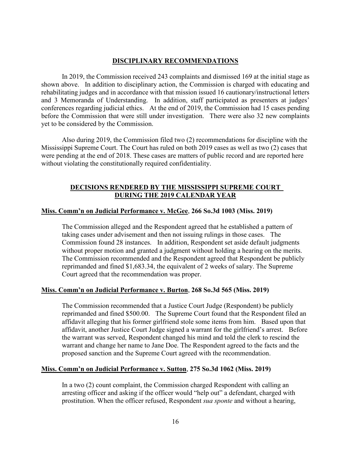## **DISCIPLINARY RECOMMENDATIONS**

In 2019, the Commission received 243 complaints and dismissed 169 at the initial stage as shown above. In addition to disciplinary action, the Commission is charged with educating and rehabilitating judges and in accordance with that mission issued 16 cautionary/instructional letters and 3 Memoranda of Understanding. In addition, staff participated as presenters at judges' conferences regarding judicial ethics. At the end of 2019, the Commission had 15 cases pending before the Commission that were still under investigation. There were also 32 new complaints yet to be considered by the Commission.

Also during 2019, the Commission filed two (2) recommendations for discipline with the Mississippi Supreme Court. The Court has ruled on both 2019 cases as well as two (2) cases that were pending at the end of 2018. These cases are matters of public record and are reported here without violating the constitutionally required confidentiality.

## **DECISIONS RENDERED BY THE MISSISSIPPI SUPREME COURT DURING THE 2019 CALENDAR YEAR**

## **Miss. Comm'n on Judicial Performance v. McGee**, **266 So.3d 1003 (Miss. 2019)**

The Commission alleged and the Respondent agreed that he established a pattern of taking cases under advisement and then not issuing rulings in those cases. The Commission found 28 instances. In addition, Respondent set aside default judgments without proper motion and granted a judgment without holding a hearing on the merits. The Commission recommended and the Respondent agreed that Respondent be publicly reprimanded and fined \$1,683.34, the equivalent of 2 weeks of salary. The Supreme Court agreed that the recommendation was proper.

### **Miss. Comm'n on Judicial Performance v. Burton**, **268 So.3d 565 (Miss. 2019)**

The Commission recommended that a Justice Court Judge (Respondent) be publicly reprimanded and fined \$500.00. The Supreme Court found that the Respondent filed an affidavit alleging that his former girlfriend stole some items from him. Based upon that affidavit, another Justice Court Judge signed a warrant for the girlfriend's arrest. Before the warrant was served, Respondent changed his mind and told the clerk to rescind the warrant and change her name to Jane Doe. The Respondent agreed to the facts and the proposed sanction and the Supreme Court agreed with the recommendation.

### **Miss. Comm'n on Judicial Performance v. Sutton**, **275 So.3d 1062 (Miss. 2019)**

In a two (2) count complaint, the Commission charged Respondent with calling an arresting officer and asking if the officer would "help out" a defendant, charged with prostitution. When the officer refused, Respondent *sua sponte* and without a hearing,